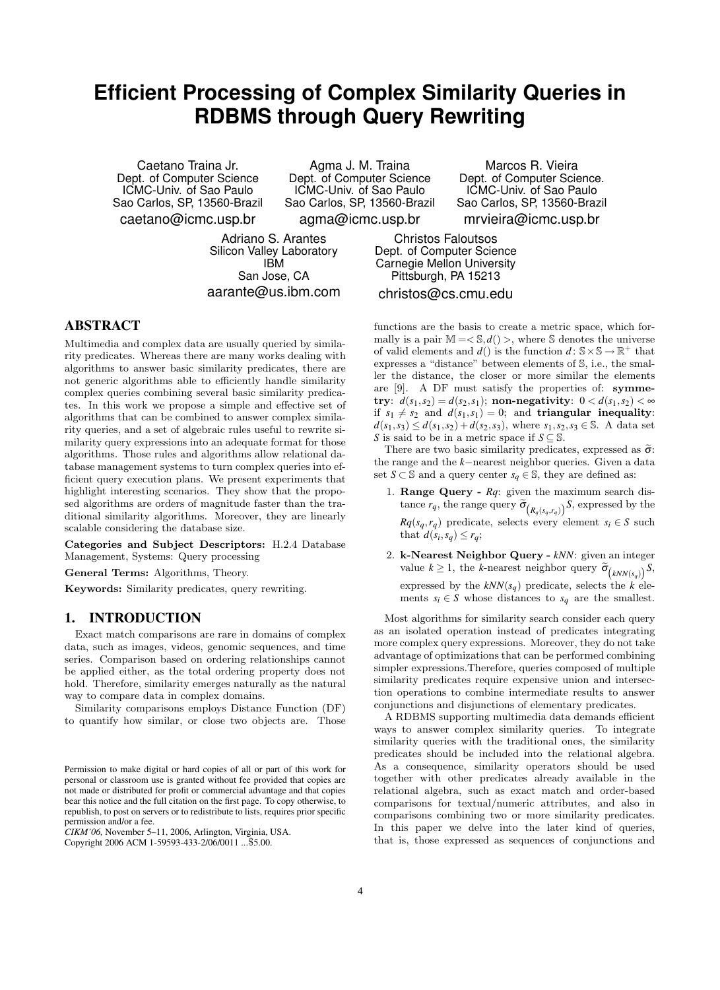# **Efficient Processing of Complex Similarity Queries in RDBMS through Query Rewriting**

Caetano Traina Jr. Dept. of Computer Science ICMC-Univ. of Sao Paulo Sao Carlos, SP, 13560-Brazil caetano@icmc.usp.br

Agma J. M. Traina Dept. of Computer Science ICMC-Univ. of Sao Paulo Sao Carlos, SP, 13560-Brazil

agma@icmc.usp.br

Adriano S. Arantes Silicon Valley Laboratory IBM San Jose, CA aarante@us.ibm.com

ABSTRACT

Multimedia and complex data are usually queried by similarity predicates. Whereas there are many works dealing with algorithms to answer basic similarity predicates, there are not generic algorithms able to efficiently handle similarity complex queries combining several basic similarity predicates. In this work we propose a simple and effective set of algorithms that can be combined to answer complex similarity queries, and a set of algebraic rules useful to rewrite similarity query expressions into an adequate format for those algorithms. Those rules and algorithms allow relational database management systems to turn complex queries into efficient query execution plans. We present experiments that highlight interesting scenarios. They show that the proposed algorithms are orders of magnitude faster than the traditional similarity algorithms. Moreover, they are linearly scalable considering the database size.

Categories and Subject Descriptors: H.2.4 Database Management, Systems: Query processing

General Terms: Algorithms, Theory.

Keywords: Similarity predicates, query rewriting.

# 1. INTRODUCTION

Exact match comparisons are rare in domains of complex data, such as images, videos, genomic sequences, and time series. Comparison based on ordering relationships cannot be applied either, as the total ordering property does not hold. Therefore, similarity emerges naturally as the natural way to compare data in complex domains.

Similarity comparisons employs Distance Function (DF) to quantify how similar, or close two objects are. Those

*CIKM'06,* November 5–11, 2006, Arlington, Virginia, USA.

Copyright 2006 ACM 1-59593-433-2/06/0011 ...\$5.00.

Marcos R. Vieira Dept. of Computer Science. ICMC-Univ. of Sao Paulo Sao Carlos, SP, 13560-Brazil mrvieira@icmc.usp.br

Christos Faloutsos Dept. of Computer Science Carnegie Mellon University Pittsburgh, PA 15213

# christos@cs.cmu.edu

functions are the basis to create a metric space, which formally is a pair  $M = \langle S, d \rangle$ , where S denotes the universe of valid elements and  $d()$  is the function  $d: \mathbb{S} \times \mathbb{S} \to \mathbb{R}^+$  that expresses a "distance" between elements of S, i.e., the smaller the distance, the closer or more similar the elements are [9]. A DF must satisfy the properties of: symme $f(x; y; d(s_1, s_2) = d(s_2, s_1);$  non-negativity:  $0 < d(s_1, s_2) < \infty$ if  $s_1 \neq s_2$  and  $d(s_1, s_1) = 0$ ; and **triangular inequality**:  $d(s_1, s_3) \leq d(s_1, s_2) + d(s_2, s_3)$ , where  $s_1, s_2, s_3 \in \mathbb{S}$ . A data set *S* is said to be in a metric space if  $S \subseteq \mathbb{S}$ .

There are two basic similarity predicates, expressed as  $\tilde{\sigma}$ : the range and the *k*−nearest neighbor queries. Given a data set *S* ⊂ S and a query center *s<sub>q</sub>* ∈ S, they are defined as:

- 1. Range Query *Rq*: given the maximum search distance  $r_q$ , the range query  $\tilde{\sigma}_{(R_q(s_q,r_q))} S$ , expressed by the  $Rq(s_q, r_q)$  predicate, selects every element  $s_i \in S$  such that  $d(s_i, s_q) \leq r_q$ ;
- 2. k-Nearest Neighbor Query *kNN*: given an integer value  $k \geq 1$ , the *k*-nearest neighbor query  $\widetilde{\sigma}_{(kNN(s_q))} S$ , expressed by the  $kNN(s_q)$  predicate, selects the *k* elements  $s_i \in S$  whose distances to  $s_q$  are the smallest.

Most algorithms for similarity search consider each query as an isolated operation instead of predicates integrating more complex query expressions. Moreover, they do not take advantage of optimizations that can be performed combining simpler expressions.Therefore, queries composed of multiple similarity predicates require expensive union and intersection operations to combine intermediate results to answer conjunctions and disjunctions of elementary predicates.

A RDBMS supporting multimedia data demands efficient ways to answer complex similarity queries. To integrate similarity queries with the traditional ones, the similarity predicates should be included into the relational algebra. As a consequence, similarity operators should be used together with other predicates already available in the relational algebra, such as exact match and order-based comparisons for textual/numeric attributes, and also in comparisons combining two or more similarity predicates. In this paper we delve into the later kind of queries, that is, those expressed as sequences of conjunctions and

Permission to make digital or hard copies of all or part of this work for personal or classroom use is granted without fee provided that copies are not made or distributed for profit or commercial advantage and that copies bear this notice and the full citation on the first page. To copy otherwise, to republish, to post on servers or to redistribute to lists, requires prior specific permission and/or a fee.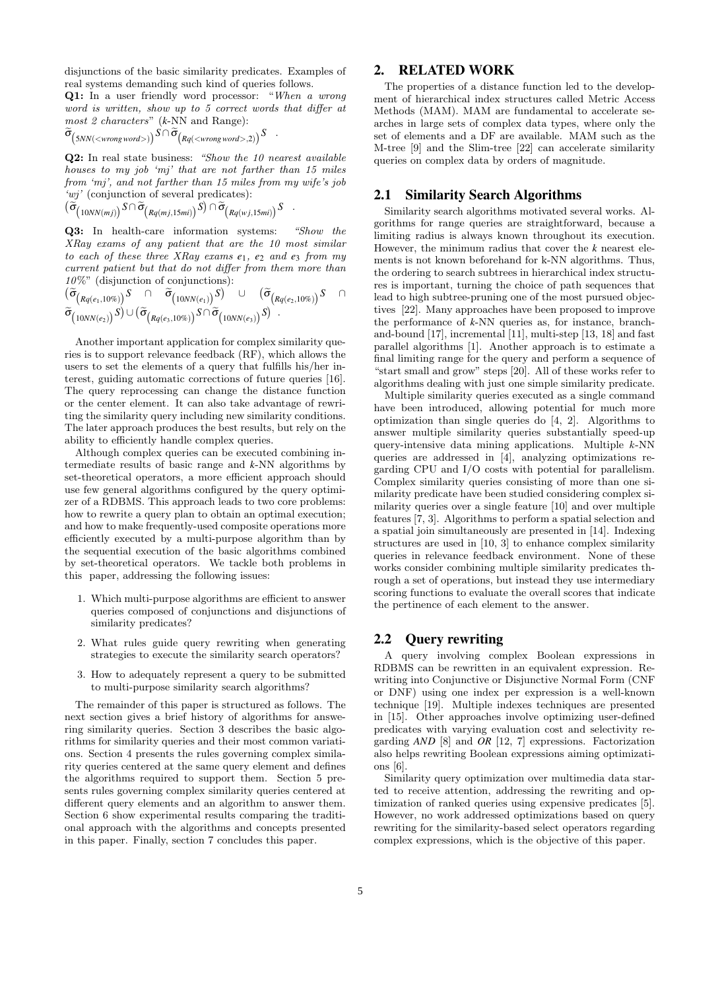disjunctions of the basic similarity predicates. Examples of real systems demanding such kind of queries follows.

Q1: In a user friendly word processor: "When a wrong word is written, show up to 5 correct words that differ at most 2 characters" (*k*-NN and Range):

$$
\widetilde{\sigma}_{\big(5NN()}\big)^{\mathcal{S}\,\cap\, \widetilde{\sigma}}\big(\mathit{Rq}(<\mathit{wrong\,word>},2)\big)^{\mathcal{S}} \quad.
$$

Q2: In real state business: "Show the 10 nearest available houses to my job 'mj' that are not farther than 15 miles from 'mj', and not farther than 15 miles from my wife's job 'wj' (conjunction of several predicates):

$$
(\widetilde{\sigma}_{(10NN(mj))}^S S \cap \widetilde{\sigma}_{(Rq(mj,15mi))}^S S) \cap \widetilde{\sigma}_{(Rq(wj,15mi))}^S S .
$$

Q3: In health-care information systems: "Show the XRay exams of any patient that are the 10 most similar to each of these three XRay exams *e*1, *e*<sup>2</sup> and *e*<sup>3</sup> from my current patient but that do not differ from them more than 10%" (disjunction of conjunctions):

$$
(\widetilde{\sigma}_{(Rq(e_1,10\%))}S \cap \widetilde{\sigma}_{(10NN(e_1))}S) \cup (\widetilde{\sigma}_{(Rq(e_2,10\%))}S) \cap \widetilde{\sigma}_{(10NN(e_2))}S \cap
$$

Another important application for complex similarity queries is to support relevance feedback (RF), which allows the users to set the elements of a query that fulfills his/her interest, guiding automatic corrections of future queries [16]. The query reprocessing can change the distance function or the center element. It can also take advantage of rewriting the similarity query including new similarity conditions. The later approach produces the best results, but rely on the ability to efficiently handle complex queries.

Although complex queries can be executed combining intermediate results of basic range and *k*-NN algorithms by set-theoretical operators, a more efficient approach should use few general algorithms configured by the query optimizer of a RDBMS. This approach leads to two core problems: how to rewrite a query plan to obtain an optimal execution; and how to make frequently-used composite operations more efficiently executed by a multi-purpose algorithm than by the sequential execution of the basic algorithms combined by set-theoretical operators. We tackle both problems in this paper, addressing the following issues:

- 1. Which multi-purpose algorithms are efficient to answer queries composed of conjunctions and disjunctions of similarity predicates?
- 2. What rules guide query rewriting when generating strategies to execute the similarity search operators?
- 3. How to adequately represent a query to be submitted to multi-purpose similarity search algorithms?

The remainder of this paper is structured as follows. The next section gives a brief history of algorithms for answering similarity queries. Section 3 describes the basic algorithms for similarity queries and their most common variations. Section 4 presents the rules governing complex similarity queries centered at the same query element and defines the algorithms required to support them. Section 5 presents rules governing complex similarity queries centered at different query elements and an algorithm to answer them. Section 6 show experimental results comparing the traditional approach with the algorithms and concepts presented in this paper. Finally, section 7 concludes this paper.

# 2. RELATED WORK

The properties of a distance function led to the development of hierarchical index structures called Metric Access Methods (MAM). MAM are fundamental to accelerate searches in large sets of complex data types, where only the set of elements and a DF are available. MAM such as the M-tree [9] and the Slim-tree [22] can accelerate similarity queries on complex data by orders of magnitude.

# 2.1 Similarity Search Algorithms

Similarity search algorithms motivated several works. Algorithms for range queries are straightforward, because a limiting radius is always known throughout its execution. However, the minimum radius that cover the *k* nearest elements is not known beforehand for k-NN algorithms. Thus, the ordering to search subtrees in hierarchical index structures is important, turning the choice of path sequences that lead to high subtree-pruning one of the most pursued objectives [22]. Many approaches have been proposed to improve the performance of *k*-NN queries as, for instance, branchand-bound [17], incremental [11], multi-step [13, 18] and fast parallel algorithms [1]. Another approach is to estimate a final limiting range for the query and perform a sequence of "start small and grow" steps [20]. All of these works refer to algorithms dealing with just one simple similarity predicate.

Multiple similarity queries executed as a single command have been introduced, allowing potential for much more optimization than single queries do [4, 2]. Algorithms to answer multiple similarity queries substantially speed-up query-intensive data mining applications. Multiple k-NN queries are addressed in [4], analyzing optimizations regarding CPU and I/O costs with potential for parallelism. Complex similarity queries consisting of more than one similarity predicate have been studied considering complex similarity queries over a single feature [10] and over multiple features [7, 3]. Algorithms to perform a spatial selection and a spatial join simultaneously are presented in [14]. Indexing structures are used in [10, 3] to enhance complex similarity queries in relevance feedback environment. None of these works consider combining multiple similarity predicates through a set of operations, but instead they use intermediary scoring functions to evaluate the overall scores that indicate the pertinence of each element to the answer.

# 2.2 Query rewriting

A query involving complex Boolean expressions in RDBMS can be rewritten in an equivalent expression. Rewriting into Conjunctive or Disjunctive Normal Form (CNF or DNF) using one index per expression is a well-known technique [19]. Multiple indexes techniques are presented in [15]. Other approaches involve optimizing user-defined predicates with varying evaluation cost and selectivity regarding *AND* [8] and *OR* [12, 7] expressions. Factorization also helps rewriting Boolean expressions aiming optimizations [6].

Similarity query optimization over multimedia data started to receive attention, addressing the rewriting and optimization of ranked queries using expensive predicates [5]. However, no work addressed optimizations based on query rewriting for the similarity-based select operators regarding complex expressions, which is the objective of this paper.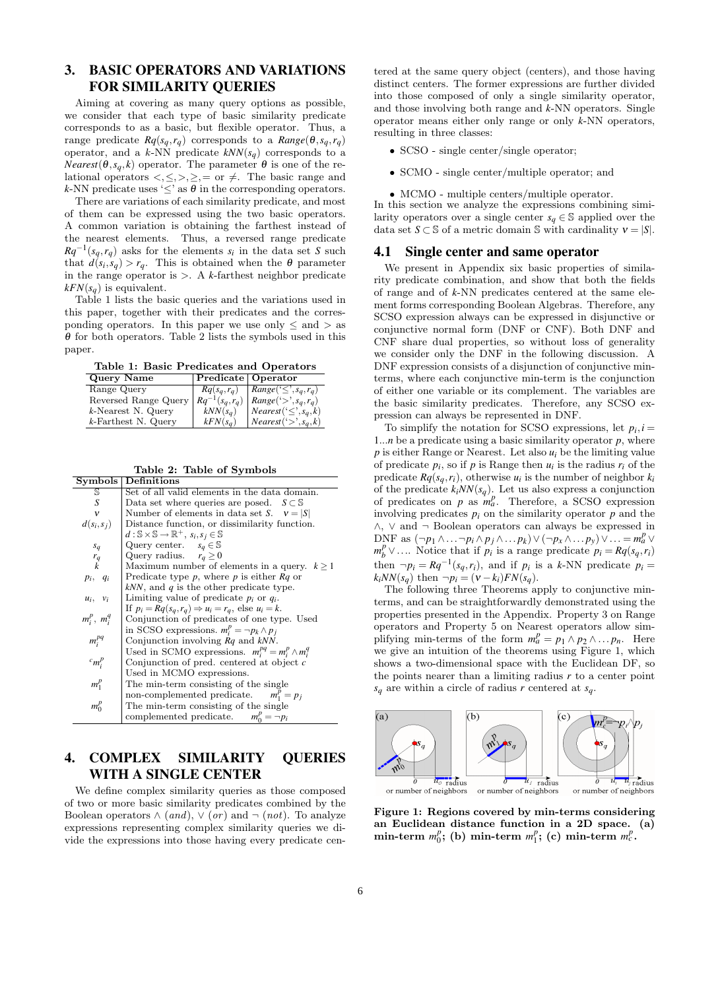# 3. BASIC OPERATORS AND VARIATIONS FOR SIMILARITY QUERIES

Aiming at covering as many query options as possible, we consider that each type of basic similarity predicate corresponds to as a basic, but flexible operator. Thus, a range predicate  $Rq(s_q, r_q)$  corresponds to a  $Range(\theta, s_q, r_q)$ operator, and a  $k$ -NN predicate  $kNN(s_q)$  corresponds to a *Nearest*( $\theta$ ,  $s_q$ ,  $k$ ) operator. The parameter  $\theta$  is one of the relational operators  $\langle , \leq, >, \geq, =$  or  $\neq$ . The basic range and *k*-NN predicate uses ' $\leq$ ' as  $\theta$  in the corresponding operators.

There are variations of each similarity predicate, and most of them can be expressed using the two basic operators. A common variation is obtaining the farthest instead of the nearest elements. Thus, a reversed range predicate  $Rq^{-1}(s_q, r_q)$  asks for the elements  $s_i$  in the data set *S* such that  $d(s_i, s_q) > r_q$ . This is obtained when the  $\theta$  parameter in the range operator is  $\geq$ . A *k*-farthest neighbor predicate  $kFN(s_q)$  is equivalent.

Table 1 lists the basic queries and the variations used in this paper, together with their predicates and the corresponding operators. In this paper we use only  $\leq$  and  $>$  as  $\theta$  for both operators. Table 2 lists the symbols used in this paper.

Table 1: Basic Predicates and Operators

| Query Name             | Predicate   Operator |                                               |
|------------------------|----------------------|-----------------------------------------------|
| Range Query            | $Rq(s_q, r_q)$       | $\vert Range(\leq', s_q, r_q) \vert$          |
| Reversed Range Query   | $Rq^{-1}(s_a, r_a)$  | $Range(\cdot>^{\prime}, s_q, r_q)$            |
| $k$ -Nearest N. Query  | $kNN(s_a)$           | $\big  Nearest(\lbrace \leq \rbrace, s_q, k)$ |
| $k$ -Farthest N. Query | $kFN(s_a)$           | $\vert Nearest(\cdot>, s_a, k) \vert$         |

|  |  |  | Table 2: Table of Symbols |  |
|--|--|--|---------------------------|--|
|--|--|--|---------------------------|--|

| Symbols           | Definitions                                                                         |  |
|-------------------|-------------------------------------------------------------------------------------|--|
| S                 | Set of all valid elements in the data domain.                                       |  |
| S                 | Data set where queries are posed. $S \subset \mathbb{S}$                            |  |
| $\mathbf{v}$      | Number of elements in data set S. $v =  S $                                         |  |
| $d(s_i,s_j)$      | Distance function, or dissimilarity function.                                       |  |
|                   | $d: \mathbb{S} \times \mathbb{S} \rightarrow \mathbb{R}^+, s_i, s_j \in \mathbb{S}$ |  |
| $s_q$             | Query center. $s_a \in \mathbb{S}$                                                  |  |
| $r_q$             | Query radius. $r_a \geq 0$                                                          |  |
| $\boldsymbol{k}$  | Maximum number of elements in a query. $k > 1$                                      |  |
| $p_i, q_i$        | Predicate type $p$ , where $p$ is either $Rq$ or                                    |  |
|                   | $kNN$ , and q is the other predicate type.                                          |  |
| $u_i, v_i$        | Limiting value of predicate $p_i$ or $q_i$ .                                        |  |
|                   | If $p_i = Rq(s_a, r_a) \Rightarrow u_i = r_a$ , else $u_i = k$ .                    |  |
| $m_i^p$ , $m_i^q$ | Conjunction of predicates of one type. Used                                         |  |
|                   | in SCSO expressions. $m_i^p = \neg p_k \wedge p_i$                                  |  |
| $m_i^{pq}$        | Conjunction involving $Rq$ and $kNN$ .                                              |  |
|                   | Used in SCMO expressions. $m_i^{pq} = m_i^p \wedge m_i^q$                           |  |
| ${}^c m_i^p$      | Conjunction of pred. centered at object $c$                                         |  |
|                   | Used in MCMO expressions.                                                           |  |
| $m_1^p$           | The min-term consisting of the single                                               |  |
|                   | non-complemented predicate.<br>$m_1^p = p_i$                                        |  |
| $m_0^p$           | The min-term consisting of the single                                               |  |
|                   | complemented predicate. $m_0^p = \neg p_i$                                          |  |

# 4. COMPLEX SIMILARITY QUERIES WITH A SINGLE CENTER

We define complex similarity queries as those composed of two or more basic similarity predicates combined by the Boolean operators  $\wedge$  (and),  $\vee$  (or) and  $\neg$  (not). To analyze expressions representing complex similarity queries we divide the expressions into those having every predicate centered at the same query object (centers), and those having distinct centers. The former expressions are further divided into those composed of only a single similarity operator, and those involving both range and *k*-NN operators. Single operator means either only range or only *k*-NN operators, resulting in three classes:

- SCSO single center/single operator;
- SCMO single center/multiple operator; and
- MCMO multiple centers/multiple operator.

In this section we analyze the expressions combining similarity operators over a single center  $s_q \in \mathbb{S}$  applied over the data set  $S \subset \mathbb{S}$  of a metric domain  $\mathbb{S}$  with cardinality  $v = |S|$ .

#### 4.1 Single center and same operator

We present in Appendix six basic properties of similarity predicate combination, and show that both the fields of range and of *k*-NN predicates centered at the same element forms corresponding Boolean Algebras. Therefore, any SCSO expression always can be expressed in disjunctive or conjunctive normal form (DNF or CNF). Both DNF and CNF share dual properties, so without loss of generality we consider only the DNF in the following discussion. A DNF expression consists of a disjunction of conjunctive minterms, where each conjunctive min-term is the conjunction of either one variable or its complement. The variables are the basic similarity predicates. Therefore, any SCSO expression can always be represented in DNF.

To simplify the notation for SCSO expressions, let  $p_i$ , *i* = 1...*n* be a predicate using a basic similarity operator *p*, where  $p$  is either Range or Nearest. Let also  $u_i$  be the limiting value of predicate  $p_i$ , so if  $p$  is Range then  $u_i$  is the radius  $r_i$  of the predicate  $Rq(s_q, r_i)$ , otherwise  $u_i$  is the number of neighbor  $k_i$ of the predicate  $k_i NN(s_q)$ . Let us also express a conjunction of predicates on  $p$  as  $m_a^p$ . Therefore, a SCSO expression involving predicates  $p_i$  on the similarity operator  $p$  and the ∧, ∨ and ¬ Boolean operators can always be expressed in DNF as  $(\neg p_1 \land \dots \neg p_i \land p_j \land \dots p_k) \lor (\neg p_x \land \dots p_y) \lor \dots = m_a^p \lor$  $m_b^p \vee ...$  Notice that if *p<sub>i</sub>* is a range predicate  $p_i = Rq(s_q, r_i)$ then  $\neg p_i = Rq^{-1}(s_q, r_i)$ , and if  $p_i$  is a *k*-NN predicate  $p_i =$  $k_iNN(s_q)$  then  $\neg p_i = (v - k_i)FN(s_q)$ .

The following three Theorems apply to conjunctive minterms, and can be straightforwardly demonstrated using the properties presented in the Appendix. Property 3 on Range operators and Property 5 on Nearest operators allow simplifying min-terms of the form  $m_a^p = p_1 \wedge p_2 \wedge \dots p_n$ . Here we give an intuition of the theorems using Figure 1, which shows a two-dimensional space with the Euclidean DF, so the points nearer than a limiting radius *r* to a center point  $s_q$  are within a circle of radius *r* centered at  $s_q$ .



Figure 1: Regions covered by min-terms considering an Euclidean distance function in a 2D space. (a)  $\min$ -term  $m_0^p$ ; (b)  $\min$ -term  $m_1^p$ ; (c)  $\min$ -term  $m_c^p$ .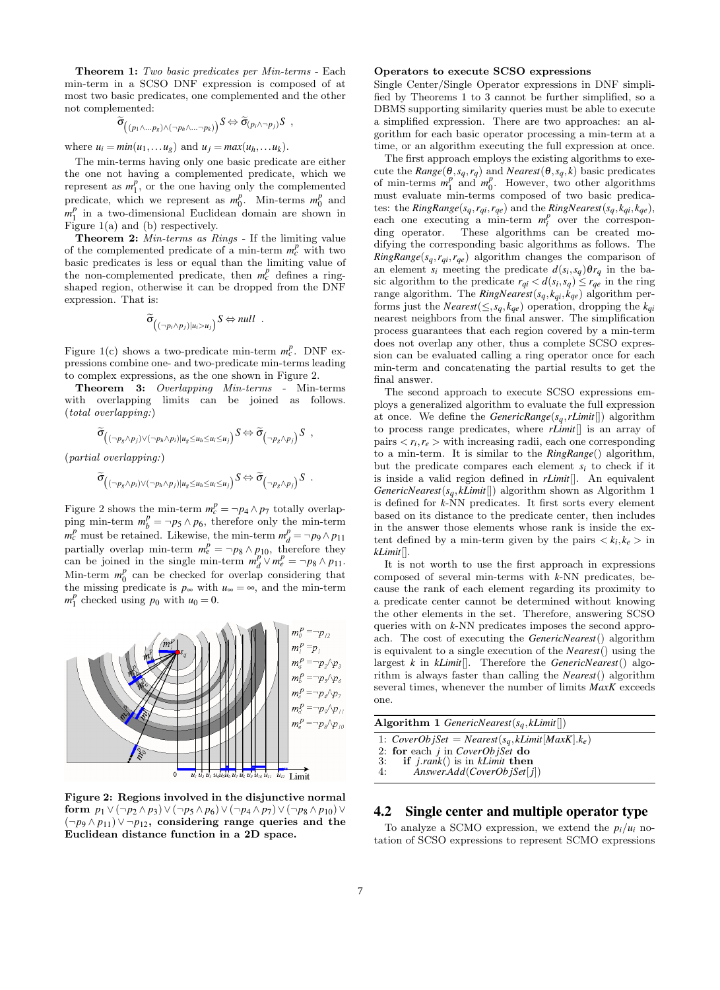Theorem 1: Two basic predicates per Min-terms - Each min-term in a SCSO DNF expression is composed of at most two basic predicates, one complemented and the other not complemented:

$$
\widetilde{\sigma}_{\left((p_1\wedge\ldots p_s)\wedge(\neg p_h\wedge\ldots\neg p_k)\right)}S \Leftrightarrow \widetilde{\sigma}_{\left(p_i\wedge\neg p_j\right)}S \ ,
$$

where  $u_i = min(u_1, \ldots, u_g)$  and  $u_j = max(u_h, \ldots, u_k)$ .

The min-terms having only one basic predicate are either the one not having a complemented predicate, which we represent as  $m_1^p$ , or the one having only the complemented predicate, which we represent as  $m_0^p$ . Min-terms  $m_0^p$  and  $m_1^p$  in a two-dimensional Euclidean domain are shown in Figure 1(a) and (b) respectively.

Theorem 2: Min-terms as Rings - If the limiting value of the complemented predicate of a min-term  $m_c^p$  with two basic predicates is less or equal than the limiting value of the non-complemented predicate, then  $m_c^p$  defines a ringshaped region, otherwise it can be dropped from the DNF expression. That is:

$$
\widetilde{\sigma}_{\left((\neg p_i \land p_j)|u_i>u_j\right)} S \Leftrightarrow null .
$$

Figure 1(c) shows a two-predicate min-term  $m_c^p$ . DNF expressions combine one- and two-predicate min-terms leading to complex expressions, as the one shown in Figure 2.

Theorem 3: Overlapping Min-terms - Min-terms with overlapping limits can be joined as follows. (total overlapping:)

$$
\widetilde{\sigma}_{\left((\neg p_{g} \land p_{j}) \lor (\neg p_{h} \land p_{i}) | u_{g} \leq u_{h} \leq u_{i} \leq u_{j}\right)} S \Leftrightarrow \widetilde{\sigma}_{\left(\neg p_{g} \land p_{j}\right)} S ,
$$

(partial overlapping:)

$$
\widetilde{\sigma}_{\left((\neg p_{g} \land p_{i}) \lor (\neg p_{h} \land p_{j}) | u_{g} \leq u_{h} \leq u_{i} \leq u_{j}\right)} S \Leftrightarrow \widetilde{\sigma}_{\left(\neg p_{g} \land p_{j}\right)} S \ .
$$

Figure 2 shows the min-term  $m_c^p = \neg p_4 \wedge p_7$  totally overlapping min-term  $m_b^p = \neg p_5 \wedge p_6$ , therefore only the min-term  $m_c^p$  must be retained. Likewise, the min-term  $m_d^p = \neg p_9 \wedge p_{11}$ partially overlap min-term  $m_e^p = \neg p_8 \wedge p_{10}$ , therefore they can be joined in the single min-term  $m_d^p \vee m_e^p = \neg p_8 \wedge p_{11}$ . Min-term  $m_0^p$  can be checked for overlap considering that the missing predicate is  $p_{\infty}$  with  $u_{\infty} = \infty$ , and the min-term  $m_1^p$  checked using  $p_0$  with  $u_0 = 0$ .



Figure 2: Regions involved in the disjunctive normal form  $p_1 \vee (\neg p_2 \wedge p_3) \vee (\neg p_5 \wedge p_6) \vee (\neg p_4 \wedge p_7) \vee (\neg p_8 \wedge p_{10}) \vee$ (¬*p*<sup>9</sup> ∧ *p*11)∨ ¬*p*12, considering range queries and the Euclidean distance function in a 2D space.

#### Operators to execute SCSO expressions

Single Center/Single Operator expressions in DNF simplified by Theorems 1 to 3 cannot be further simplified, so a DBMS supporting similarity queries must be able to execute a simplified expression. There are two approaches: an algorithm for each basic operator processing a min-term at a time, or an algorithm executing the full expression at once.

The first approach employs the existing algorithms to execute the  $Range(\theta, s_q, r_q)$  and  $Nearest(\theta, s_q, k)$  basic predicates of min-terms  $m_1^p$  and  $m_0^p$ . However, two other algorithms must evaluate min-terms composed of two basic predicates: the  $\mathit{RingRange}(s_q, r_{qi}, r_{qe})$  and the  $\mathit{RingNearest}(s_q, k_{qi}, k_{qe}),$ each one executing a min-term  $m_i^p$  over the corresponding operator. These algorithms can be created modifying the corresponding basic algorithms as follows. The  $RingRange(s_q, r_{qi}, r_{qe})$  algorithm changes the comparison of an element  $s_i$  meeting the predicate  $d(s_i, s_q) \theta r_q$  in the basic algorithm to the predicate  $r_{qi} < d(s_i, s_q) \leq r_{qe}$  in the ring range algorithm. The *RingNearest*( $s_q$ , $k_{qi}$ , $k_{qe}$ ) algorithm performs just the *Nearest*( $\leq$ ,  $s_q$ ,  $k_{qe}$ ) operation, dropping the  $k_{qi}$ nearest neighbors from the final answer. The simplification process guarantees that each region covered by a min-term does not overlap any other, thus a complete SCSO expression can be evaluated calling a ring operator once for each min-term and concatenating the partial results to get the final answer.

The second approach to execute SCSO expressions employs a generalized algorithm to evaluate the full expression at once. We define the *GenericRange*(*sq*,*rLimit*[]) algorithm to process range predicates, where *rLimit*[] is an array of pairs  $\langle r_i, r_e \rangle$  with increasing radii, each one corresponding to a min-term. It is similar to the *RingRange*() algorithm, but the predicate compares each element *s<sup>i</sup>* to check if it is inside a valid region defined in *rLimit*[]. An equivalent *GenericNearest*(*sq*,*kLimit*[]) algorithm shown as Algorithm 1 is defined for *k*-NN predicates. It first sorts every element based on its distance to the predicate center, then includes in the answer those elements whose rank is inside the extent defined by a min-term given by the pairs  $\langle k_i, k_e \rangle$  in *kLimit*[].

It is not worth to use the first approach in expressions composed of several min-terms with *k*-NN predicates, because the rank of each element regarding its proximity to a predicate center cannot be determined without knowing the other elements in the set. Therefore, answering SCSO queries with on *k*-NN predicates imposes the second approach. The cost of executing the *GenericNearest*() algorithm is equivalent to a single execution of the *Nearest*() using the largest *k* in *kLimit*[]. Therefore the *GenericNearest*() algorithm is always faster than calling the *Nearest*() algorithm several times, whenever the number of limits *MaxK* exceeds one.

Algorithm 1 *GenericNearest*(*sq*,*kLimit*[])

1:  $CoverObject = Nearest(s_q, kLimit[MaxK].k_e)$ 

- 2: for each *j* in *CoverObjSet* do 3: **if** *j.rank*() is in *kLimit* then
- 3: if *j*.*rank*() is in *kLimit* then 4: *Answer*.*Add*(*CoverOb jSet*[ *j*])

# 4.2 Single center and multiple operator type

To analyze a SCMO expression, we extend the  $p_i/u_i$  notation of SCSO expressions to represent SCMO expressions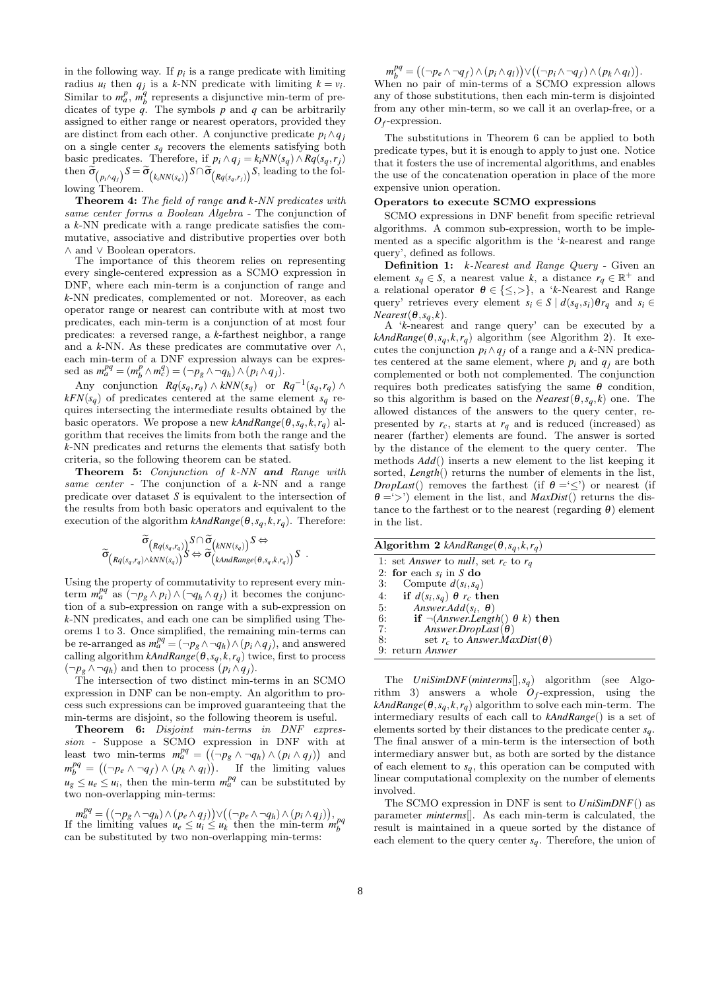in the following way. If  $p_i$  is a range predicate with limiting radius  $u_i$  then  $q_j$  is a k-NN predicate with limiting  $k = v_i$ . Similar to  $m_a^p$ ,  $m_b^q$  represents a disjunctive min-term of predicates of type *q*. The symbols *p* and *q* can be arbitrarily assigned to either range or nearest operators, provided they are distinct from each other. A conjunctive predicate  $p_i \wedge q_j$ on a single center  $s_q$  recovers the elements satisfying both basic predicates. Therefore, if  $p_i \wedge q_j = k_i NN(s_q) \wedge Rq(s_q, r_j)$ then  $\sigma_{(p_i \wedge q_j)} S = \sigma_{(k_i NN(s_q))} S \cap \sigma_{(Rq(s_q,r_j))} S$ , leading to the following Theorem.

Theorem 4: The field of range and *k*-NN predicates with same center forms a Boolean Algebra - The conjunction of a *k*-NN predicate with a range predicate satisfies the commutative, associative and distributive properties over both ∧ and ∨ Boolean operators.

The importance of this theorem relies on representing every single-centered expression as a SCMO expression in DNF, where each min-term is a conjunction of range and *k*-NN predicates, complemented or not. Moreover, as each operator range or nearest can contribute with at most two predicates, each min-term is a conjunction of at most four predicates: a reversed range, a *k*-farthest neighbor, a range and a *k*-NN. As these predicates are commutative over  $\wedge$ , each min-term of a DNF expression always can be expressed as  $m_a^{pq} = (m_b^p \wedge m_c^q) = (\neg p_g \wedge \neg q_h) \wedge (p_i \wedge q_j).$ 

Any conjunction  $Rq(s_q, r_q) \wedge kNN(s_q)$  or  $Rq^{-1}(s_q, r_q) \wedge$  $kFN(s_q)$  of predicates centered at the same element  $s_q$  requires intersecting the intermediate results obtained by the basic operators. We propose a new  $kAndRange(\theta, s_q, k, r_q)$  algorithm that receives the limits from both the range and the *k*-NN predicates and returns the elements that satisfy both criteria, so the following theorem can be stated.

Theorem 5: Conjunction of *k*-NN and Range with same center - The conjunction of a *k*-NN and a range predicate over dataset *S* is equivalent to the intersection of the results from both basic operators and equivalent to the execution of the algorithm  $kAndRange(\theta, s_q, k, r_q)$ . Therefore:

$$
\widetilde{\sigma}_{\left(Rq(s_q,r_q)\wedge kNN(s_q)\right)}^{\widetilde{\sigma}}S\otimes \widetilde{\sigma}_{\left(kNN(s_q)\right)}^{\widetilde{\sigma}}S \Leftrightarrow \widetilde{\sigma}_{\left(kAMRange(\theta,s_q,k,r_q)\right)}^{\widetilde{\sigma}}S.
$$

Using the property of commutativity to represent every minterm  $m_a^{pq}$  as  $(\neg p_g \land p_i) \land (\neg q_h \land q_j)$  it becomes the conjunction of a sub-expression on range with a sub-expression on *k*-NN predicates, and each one can be simplified using Theorems 1 to 3. Once simplified, the remaining min-terms can be re-arranged as  $m_a^{pq} = (-p_g \land \neg q_h) \land (p_i \land q_j)$ , and answered calling algorithm  $kAndRange(\theta, s_q, k, r_q)$  twice, first to process  $(\neg p_g \land \neg q_h)$  and then to process  $(p_i \land q_j)$ .

The intersection of two distinct min-terms in an SCMO expression in DNF can be non-empty. An algorithm to process such expressions can be improved guaranteeing that the min-terms are disjoint, so the following theorem is useful.

Theorem 6: Disjoint min-terms in DNF expression - Suppose a SCMO expression in DNF with at least two min-terms  $m_a^{pq} = ((\neg p_g \wedge \neg q_h) \wedge (p_i \wedge q_j))$  and  $m_b^{pq} = ((\neg p_e \land \neg q_f) \land (p_k \land q_l)).$  If the limiting values  $u_g \leq u_e \leq u_i$ , then the min-term  $m_a^{pq}$  can be substituted by two non-overlapping min-terms:

 $m_a^{pq} = ((\neg p_g \wedge \neg q_h) \wedge (p_e \wedge q_j)) \vee ((\neg p_e \wedge \neg q_h) \wedge (p_i \wedge q_j)),$ If the limiting values  $u_e \le u_i \le u_k$  then the min-term  $m_b^{pq}$ can be substituted by two non-overlapping min-terms:

 $m_b^{pq} = ((\neg p_e \land \neg q_f) \land (p_i \land q_l)) \lor ((\neg p_i \land \neg q_f) \land (p_k \land q_l)).$ When no pair of min-terms of a SCMO expression allows any of those substitutions, then each min-term is disjointed from any other min-term, so we call it an overlap-free, or a *Of* -expression.

The substitutions in Theorem 6 can be applied to both predicate types, but it is enough to apply to just one. Notice that it fosters the use of incremental algorithms, and enables the use of the concatenation operation in place of the more expensive union operation.

#### Operators to execute SCMO expressions

SCMO expressions in DNF benefit from specific retrieval algorithms. A common sub-expression, worth to be implemented as a specific algorithm is the '*k*-nearest and range query', defined as follows.

Definition 1: *k*-Nearest and Range Query - Given an element  $s_q \in S$ , a nearest value *k*, a distance  $r_q \in \mathbb{R}^+$  and a relational operator  $\theta \in \{\leq,>\}$ , a '*k*-Nearest and Range query' retrieves every element  $s_i \in S \mid d(s_a, s_i) \theta r_a$  and  $s_i \in$  $Nearest(\theta, s_q, k)$ .

A '*k*-nearest and range query' can be executed by a  $kAndRange(\theta, s_q, k, r_q)$  algorithm (see Algorithm 2). It executes the conjunction  $p_i \wedge q_j$  of a range and a *k*-NN predicates centered at the same element, where  $p_i$  and  $q_j$  are both complemented or both not complemented. The conjunction requires both predicates satisfying the same θ condition, so this algorithm is based on the *Nearest*( $\theta$ ,  $s_q$ ,  $k$ ) one. The allowed distances of the answers to the query center, represented by  $r_c$ , starts at  $r_q$  and is reduced (increased) as nearer (farther) elements are found. The answer is sorted by the distance of the element to the query center. The methods *Add*() inserts a new element to the list keeping it sorted, *Length*() returns the number of elements in the list, *DropLast*() removes the farthest (if  $\theta = \leq$ ) or nearest (if  $\theta = \langle \rangle$  element in the list, and *MaxDist*() returns the distance to the farthest or to the nearest (regarding  $\theta$ ) element in the list.

| Algorithm 2 kAndRange( $\theta$ , $s_q$ , $k$ , $r_q$ )            |
|--------------------------------------------------------------------|
| 1: set Answer to null, set $r_c$ to $r_a$                          |
| 2: for each $s_i$ in S do                                          |
| 3: Compute $d(s_i, s_q)$                                           |
| 4: if $d(s_i,s_q) \theta r_c$ then                                 |
| Answer.Add $(s_i, \theta)$<br>5:                                   |
| if $\neg$ ( <i>Answer.Length</i> () $\theta$ <i>k</i> ) then<br>6: |
| 7:<br>Answer.DropLast( $\theta$ )                                  |
| 8:<br>set $r_c$ to Answer.MaxDist( $\theta$ )                      |
| 9: return <i>Answer</i>                                            |
|                                                                    |

The *UniSimDNF*(*minterms*[],*sq*) algorithm (see Algorithm 3) answers a whole  $O_f$ -expression, using the  $kAndRange(\theta, s_q, k, r_q)$  algorithm to solve each min-term. The intermediary results of each call to *kAndRange*() is a set of elements sorted by their distances to the predicate center *sq*. The final answer of a min-term is the intersection of both intermediary answer but, as both are sorted by the distance of each element to  $s_q$ , this operation can be computed with linear computational complexity on the number of elements involved.

The SCMO expression in DNF is sent to *UniSimDNF*() as parameter *minterms*[]. As each min-term is calculated, the result is maintained in a queue sorted by the distance of each element to the query center *sq*. Therefore, the union of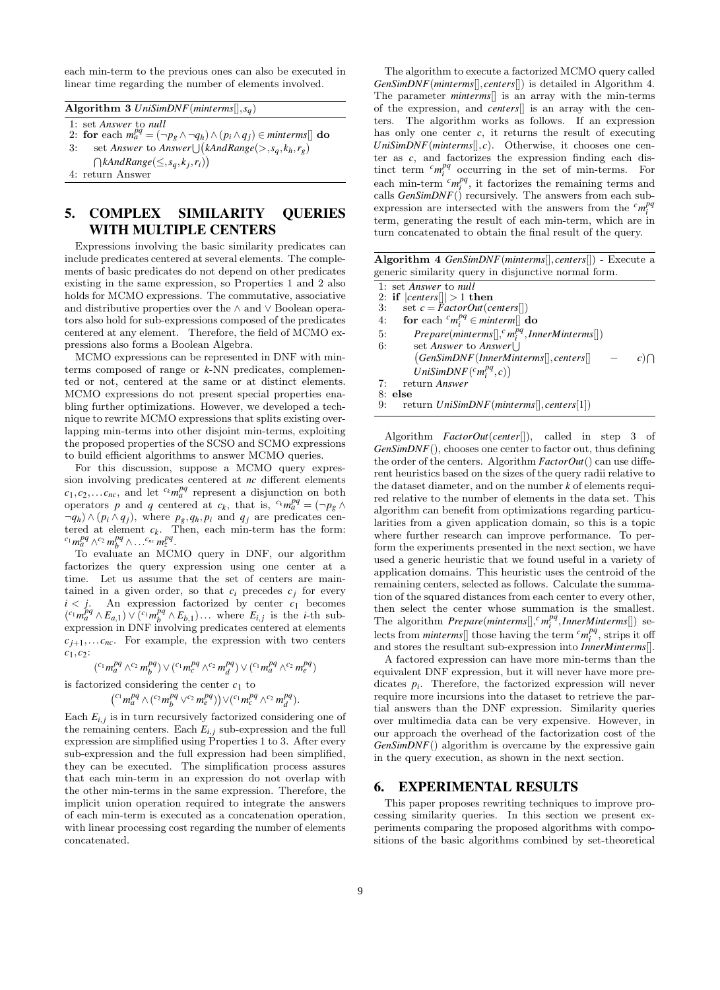each min-term to the previous ones can also be executed in linear time regarding the number of elements involved.

Algorithm 3 *UniSimDNF*(*minterms*[],*sq*)

1: set *Answer* to *null* 2: for each  $m_a^{pq} = (\neg p_g \wedge \neg q_h) \wedge (p_i \wedge q_j) \in minterms$ [] do 3: set *Answer* to *Answer*  $\bigcup (kAndRange(\gt,s_q,k_h,r_g))$  $\bigcap kAndRange(\leq, s_q, k_j, r_i)\big)$ 

4: return Answer

# 5. COMPLEX SIMILARITY QUERIES WITH MULTIPLE CENTERS

Expressions involving the basic similarity predicates can include predicates centered at several elements. The complements of basic predicates do not depend on other predicates existing in the same expression, so Properties 1 and 2 also holds for MCMO expressions. The commutative, associative and distributive properties over the ∧ and ∨ Boolean operators also hold for sub-expressions composed of the predicates centered at any element. Therefore, the field of MCMO expressions also forms a Boolean Algebra.

MCMO expressions can be represented in DNF with minterms composed of range or *k*-NN predicates, complemented or not, centered at the same or at distinct elements. MCMO expressions do not present special properties enabling further optimizations. However, we developed a technique to rewrite MCMO expressions that splits existing overlapping min-terms into other disjoint min-terms, exploiting the proposed properties of the SCSO and SCMO expressions to build efficient algorithms to answer MCMO queries.

For this discussion, suppose a MCMO query expression involving predicates centered at *nc* different elements  $c_1, c_2, \ldots c_{nc}$ , and let  $c_k m_a^{pq}$  represent a disjunction on both operators *p* and *q* centered at  $c_k$ , that is,  ${}^{c_k}m_a^{pq} = (\neg p_g \wedge$  $\neg q_h$ ) ∧ ( $p_i \land q_j$ ), where  $p_g, q_h, p_i$  and  $q_j$  are predicates centered at element  $c_k$ . Then, each min-term has the form:  $c_1$  *m*<sup>pq</sup> ∧<sup>*c*<sub>2</sub> *m*<sup>pq</sup> ∧...<sup>*c<sub>nc</sub> m*<sub>z</sub><sup>pq</sup>.</sup></sup>

To evaluate an MCMO query in DNF, our algorithm factorizes the query expression using one center at a time. Let us assume that the set of centers are maintained in a given order, so that  $c_i$  precedes  $c_j$  for every  $i < j$ . An expression factorized by center  $c_1$  becomes  $({}^{c_1}m_a^{pq} \wedge E_{a,1}) \vee ({}^{c_1}m_b^{pq} \wedge E_{b,1}) \dots$  where  $E_{i,j}$  is the *i*-th subexpression in DNF involving predicates centered at elements  $c_{j+1}, \ldots c_{nc}$ . For example, the expression with two centers *c*1,*c*2:

$$
({}^{c_1}m_a^{pq} \wedge {}^{c_2}m_b^{pq}) \vee ({}^{c_1}m_c^{pq} \wedge {}^{c_2}m_d^{pq}) \vee ({}^{c_1}m_a^{pq} \wedge {}^{c_2}m_e^{pq})
$$

is factorized considering the center  $c_1$  to

$$
({}^{c_1}m_a^{pq} \wedge ({}^{c_2}m_b^{pq} \vee {}^{c_2}m_e^{pq})\big) \vee ({}^{c_1}m_c^{pq} \wedge {}^{c_2}m_d^{pq}).
$$

Each  $E_{i,j}$  is in turn recursively factorized considering one of the remaining centers. Each  $E_{i,j}$  sub-expression and the full expression are simplified using Properties 1 to 3. After every sub-expression and the full expression had been simplified, they can be executed. The simplification process assures that each min-term in an expression do not overlap with the other min-terms in the same expression. Therefore, the implicit union operation required to integrate the answers of each min-term is executed as a concatenation operation, with linear processing cost regarding the number of elements concatenated.

The algorithm to execute a factorized MCMO query called *GenSimDNF*(*minterms*[],*centers*[]) is detailed in Algorithm 4. The parameter *minterms*[] is an array with the min-terms of the expression, and *centers*[] is an array with the centers. The algorithm works as follows. If an expression has only one center  $c$ , it returns the result of executing *UniSimDNF*(*minterms*[],*c*). Otherwise, it chooses one center as *c*, and factorizes the expression finding each distinct term  ${}^{c}m_i^{pq}$  occurring in the set of min-terms. For each min-term  $\frac{c_m p}{q}$ , it factorizes the remaining terms and calls *GenSimDNF*() recursively. The answers from each subexpression are intersected with the answers from the  ${}^{c}m_{i}^{pq}$ term, generating the result of each min-term, which are in turn concatenated to obtain the final result of the query.

| Algorithm 4 GenSimDNF(minterms[], centers[]) - Execute a |
|----------------------------------------------------------|
| generic similarity query in disjunctive normal form.     |

1: set *Answer* to *null*

2: if  $|centers|| > 1$  then<br>3: set  $c = FactorOut(c)$  $\text{set } c = FactorOut(centers])$ 

- 4: **for** each  $^c m_i^{pq} \in$  *minterm*[] **do**
- 5:  $Prepare(minterms[], c'm_i^{pq}, InnerMinterns[])$ 6: set *Answer* to *Answer*
- *GenSimDNF*(*InnerMinterms*[],*centers*[] − *c*)  $c)$  $\hat{U}$ *niSimDNF* $(c_m p_i^{pq}, c)$ 7: return *Answer*

8: **else**<br>9: re 9: return *UniSimDNF*(*minterms*[],*centers*[1])

Algorithm *FactorOut*(*center*[]), called in step 3 of *GenSimDNF*(), chooses one center to factor out, thus defining the order of the centers. Algorithm *FactorOut*() can use different heuristics based on the sizes of the query radii relative to the dataset diameter, and on the number *k* of elements required relative to the number of elements in the data set. This algorithm can benefit from optimizations regarding particularities from a given application domain, so this is a topic where further research can improve performance. To perform the experiments presented in the next section, we have used a generic heuristic that we found useful in a variety of application domains. This heuristic uses the centroid of the remaining centers, selected as follows. Calculate the summation of the squared distances from each center to every other, then select the center whose summation is the smallest. The algorithm  $Prepare(minterms[], <sup>c</sup>, m<sub>i</sub><sup>pq</sup>, InnerMinterms[])$  selects from *minterms*<sup>[]</sup> those having the term  ${}^{c}m_{i}^{pq}$ , strips it of and stores the resultant sub-expression into *InnerMinterms*[].

A factored expression can have more min-terms than the equivalent DNF expression, but it will never have more predicates  $p_i$ . Therefore, the factorized expression will never require more incursions into the dataset to retrieve the partial answers than the DNF expression. Similarity queries over multimedia data can be very expensive. However, in our approach the overhead of the factorization cost of the *GenSimDNF*() algorithm is overcame by the expressive gain in the query execution, as shown in the next section.

# 6. EXPERIMENTAL RESULTS

This paper proposes rewriting techniques to improve processing similarity queries. In this section we present experiments comparing the proposed algorithms with compositions of the basic algorithms combined by set-theoretical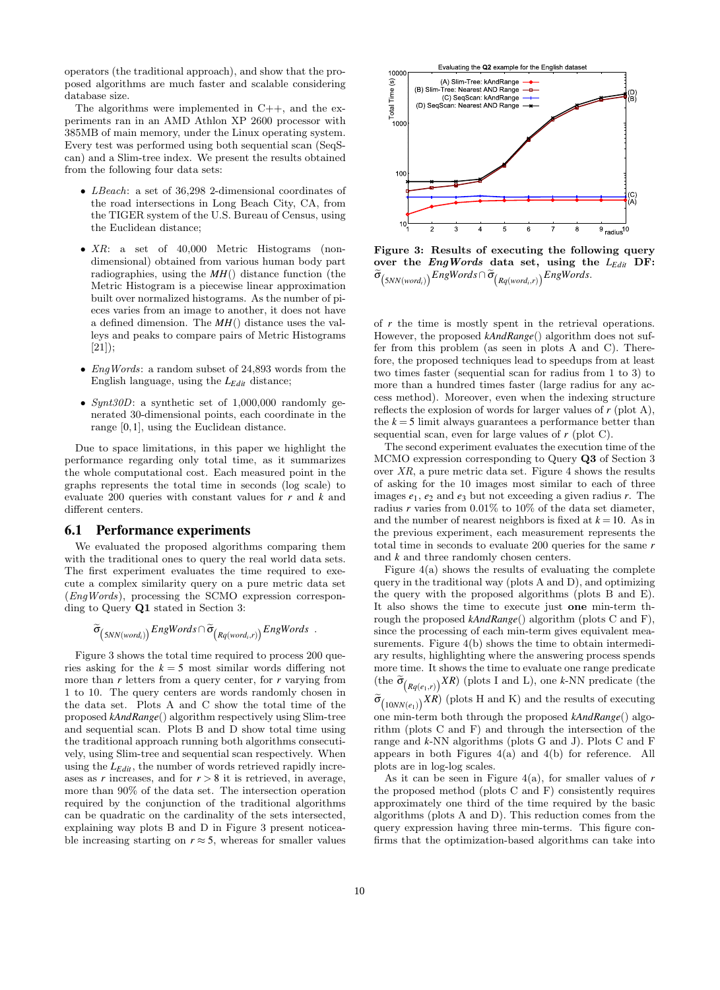operators (the traditional approach), and show that the proposed algorithms are much faster and scalable considering database size.

The algorithms were implemented in  $C++$ , and the experiments ran in an AMD Athlon XP 2600 processor with 385MB of main memory, under the Linux operating system. Every test was performed using both sequential scan (SeqScan) and a Slim-tree index. We present the results obtained from the following four data sets:

- LBeach: a set of 36,298 2-dimensional coordinates of the road intersections in Long Beach City, CA, from the TIGER system of the U.S. Bureau of Census, using the Euclidean distance;
- XR: a set of 40,000 Metric Histograms (nondimensional) obtained from various human body part radiographies, using the *MH*() distance function (the Metric Histogram is a piecewise linear approximation built over normalized histograms. As the number of pieces varies from an image to another, it does not have a defined dimension. The *MH*() distance uses the valleys and peaks to compare pairs of Metric Histograms [21]);
- *EngWords*: a random subset of 24,893 words from the English language, using the *LEdit* distance;
- Synt30D: a synthetic set of 1,000,000 randomly generated 30-dimensional points, each coordinate in the range [0,1], using the Euclidean distance.

Due to space limitations, in this paper we highlight the performance regarding only total time, as it summarizes the whole computational cost. Each measured point in the graphs represents the total time in seconds (log scale) to evaluate 200 queries with constant values for *r* and *k* and different centers.

### 6.1 Performance experiments

We evaluated the proposed algorithms comparing them with the traditional ones to query the real world data sets. The first experiment evaluates the time required to execute a complex similarity query on a pure metric data set (EngWords), processing the SCMO expression corresponding to Query Q1 stated in Section 3:

$$
\widetilde{\sigma}_{\left(5NN(word_i)\right)}EngWords \cap \widetilde{\sigma}_{\left(Rq(word_i,r)\right)}EngWords\enspace .
$$

Figure 3 shows the total time required to process 200 queries asking for the  $k = 5$  most similar words differing not more than *r* letters from a query center, for *r* varying from 1 to 10. The query centers are words randomly chosen in the data set. Plots A and C show the total time of the proposed *kAndRange*() algorithm respectively using Slim-tree and sequential scan. Plots B and D show total time using the traditional approach running both algorithms consecutively, using Slim-tree and sequential scan respectively. When using the *LEdit*, the number of words retrieved rapidly increases as  $r$  increases, and for  $r > 8$  it is retrieved, in average, more than 90% of the data set. The intersection operation required by the conjunction of the traditional algorithms can be quadratic on the cardinality of the sets intersected, explaining way plots B and D in Figure 3 present noticeable increasing starting on  $r \approx 5$ , whereas for smaller values



Figure 3: Results of executing the following query over the EngWords data set, using the *LEdit* DF:  $\sigma$ <sub>(*SNN*(*word<sub>i</sub>*)</sub>) EngWords  $\cap$   $\sigma$ <sub>(*Rq*(*word<sub>i</sub>*,*r*)) EngWords.</sub>

of *r* the time is mostly spent in the retrieval operations. However, the proposed *kAndRange*() algorithm does not suffer from this problem (as seen in plots A and C). Therefore, the proposed techniques lead to speedups from at least two times faster (sequential scan for radius from 1 to 3) to more than a hundred times faster (large radius for any access method). Moreover, even when the indexing structure reflects the explosion of words for larger values of *r* (plot A), the  $k = 5$  limit always guarantees a performance better than sequential scan, even for large values of *r* (plot C).

The second experiment evaluates the execution time of the MCMO expression corresponding to Query Q3 of Section 3 over  $XR$ , a pure metric data set. Figure 4 shows the results of asking for the 10 images most similar to each of three images  $e_1$ ,  $e_2$  and  $e_3$  but not exceeding a given radius *r*. The radius  $r$  varies from  $0.01\%$  to  $10\%$  of the data set diameter, and the number of nearest neighbors is fixed at  $k = 10$ . As in the previous experiment, each measurement represents the total time in seconds to evaluate 200 queries for the same *r* and *k* and three randomly chosen centers.

Figure 4(a) shows the results of evaluating the complete query in the traditional way (plots A and D), and optimizing the query with the proposed algorithms (plots B and E). It also shows the time to execute just one min-term through the proposed *kAndRange*() algorithm (plots C and F), since the processing of each min-term gives equivalent measurements. Figure 4(b) shows the time to obtain intermediary results, highlighting where the answering process spends more time. It shows the time to evaluate one range predicate (the  $\tilde{\sigma}_{(Rq(e_1,r))} XR$ ) (plots I and L), one *k*-NN predicate (the  $\widetilde{\sigma}_{(10NN(e_1))} XR)$  (plots H and K) and the results of executing one min-term both through the proposed *kAndRange*() algorithm (plots C and F) and through the intersection of the range and *k*-NN algorithms (plots G and J). Plots C and F appears in both Figures  $4(a)$  and  $4(b)$  for reference. All plots are in log-log scales.

As it can be seen in Figure 4(a), for smaller values of *r* the proposed method (plots C and F) consistently requires approximately one third of the time required by the basic algorithms (plots A and D). This reduction comes from the query expression having three min-terms. This figure confirms that the optimization-based algorithms can take into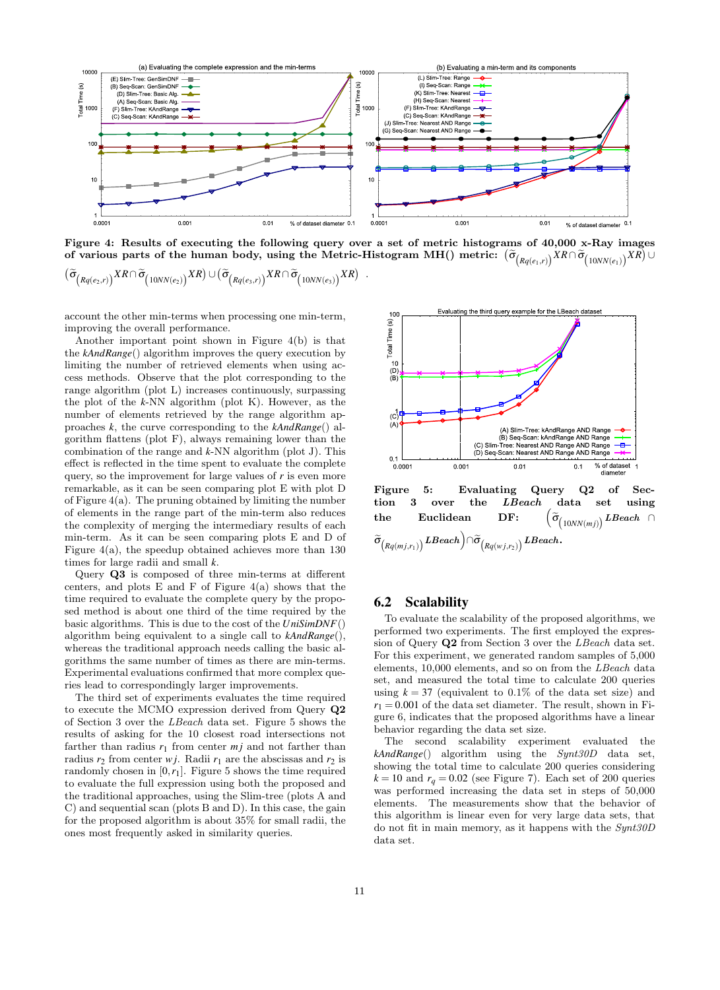

Figure 4: Results of executing the following query over a set of metric histograms of 40,000 x-Ray images  $\sigma$  for various parts of the human body, using the Metric-Histogram MH() metric:  $(\widetilde{\sigma}_{\left(Rq(e_1,r)\right)}XR\cap\widetilde{\sigma}_{\left(10NN(e_1)\right)}XR) \cup$ 

$$
(\widetilde{\sigma}_{(Rq(e_2,r))} \times R \cap \widetilde{\sigma}_{(10NN(e_2))} \times R) \cup (\widetilde{\sigma}_{(Rq(e_3,r))} \times R \cap \widetilde{\sigma}_{(10NN(e_3))} \times R) \quad .
$$

account the other min-terms when processing one min-term, improving the overall performance.

Another important point shown in Figure 4(b) is that the *kAndRange*() algorithm improves the query execution by limiting the number of retrieved elements when using access methods. Observe that the plot corresponding to the range algorithm (plot L) increases continuously, surpassing the plot of the *k*-NN algorithm (plot K). However, as the number of elements retrieved by the range algorithm approaches *k*, the curve corresponding to the *kAndRange*() algorithm flattens (plot F), always remaining lower than the combination of the range and *k*-NN algorithm (plot J). This effect is reflected in the time spent to evaluate the complete query, so the improvement for large values of  $r$  is even more remarkable, as it can be seen comparing plot E with plot D of Figure 4(a). The pruning obtained by limiting the number of elements in the range part of the min-term also reduces the complexity of merging the intermediary results of each min-term. As it can be seen comparing plots E and D of Figure 4(a), the speedup obtained achieves more than 130 times for large radii and small *k*.

Query Q3 is composed of three min-terms at different centers, and plots  $E$  and  $F$  of Figure 4(a) shows that the time required to evaluate the complete query by the proposed method is about one third of the time required by the basic algorithms. This is due to the cost of the *UniSimDNF*() algorithm being equivalent to a single call to *kAndRange*(), whereas the traditional approach needs calling the basic algorithms the same number of times as there are min-terms. Experimental evaluations confirmed that more complex queries lead to correspondingly larger improvements.

The third set of experiments evaluates the time required to execute the MCMO expression derived from Query Q2 of Section 3 over the LBeach data set. Figure 5 shows the results of asking for the 10 closest road intersections not farther than radius  $r_1$  from center  $m_j$  and not farther than radius  $r_2$  from center *wj*. Radii  $r_1$  are the abscissas and  $r_2$  is randomly chosen in  $[0, r_1]$ . Figure 5 shows the time required to evaluate the full expression using both the proposed and the traditional approaches, using the Slim-tree (plots A and C) and sequential scan (plots B and D). In this case, the gain for the proposed algorithm is about 35% for small radii, the ones most frequently asked in similarity queries.





# 6.2 Scalability

To evaluate the scalability of the proposed algorithms, we performed two experiments. The first employed the expression of Query Q2 from Section 3 over the LBeach data set. For this experiment, we generated random samples of 5,000 elements, 10,000 elements, and so on from the LBeach data set, and measured the total time to calculate 200 queries using  $k = 37$  (equivalent to 0.1% of the data set size) and  $r_1 = 0.001$  of the data set diameter. The result, shown in Figure 6, indicates that the proposed algorithms have a linear behavior regarding the data set size.

The second scalability experiment evaluated the *kAndRange*() algorithm using the Synt30D data set, showing the total time to calculate 200 queries considering  $k = 10$  and  $r_q = 0.02$  (see Figure 7). Each set of 200 queries was performed increasing the data set in steps of 50,000 elements. The measurements show that the behavior of this algorithm is linear even for very large data sets, that do not fit in main memory, as it happens with the Synt30D data set.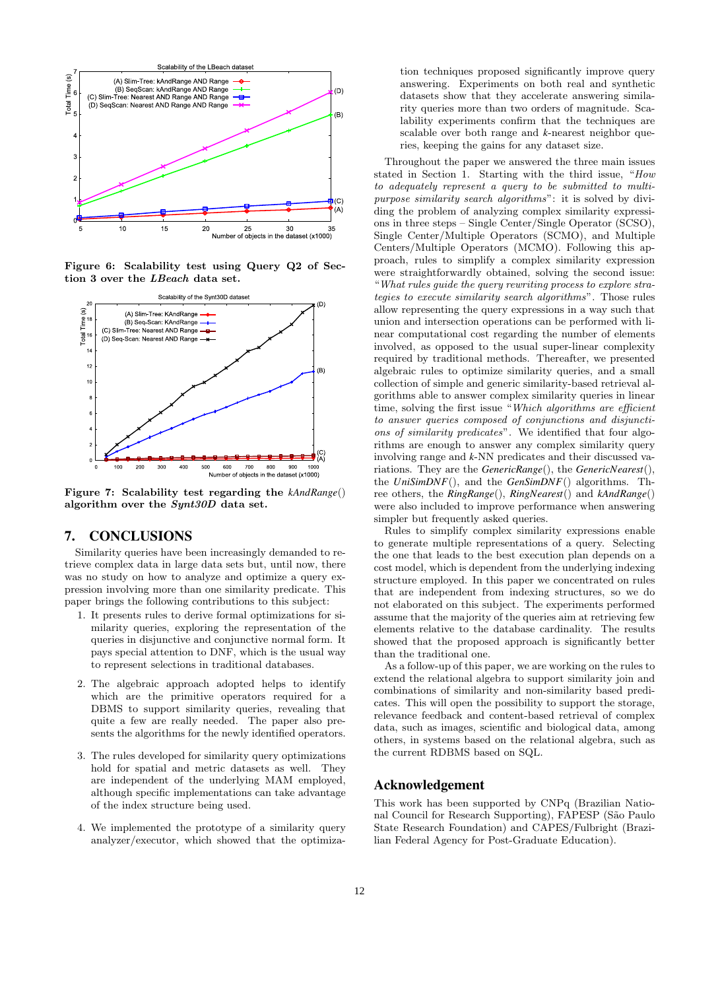

Figure 6: Scalability test using Query Q2 of Section 3 over the LBeach data set.



Figure 7: Scalability test regarding the *kAndRange*() algorithm over the  $Synt30D$  data set.

# 7. CONCLUSIONS

Similarity queries have been increasingly demanded to retrieve complex data in large data sets but, until now, there was no study on how to analyze and optimize a query expression involving more than one similarity predicate. This paper brings the following contributions to this subject:

- 1. It presents rules to derive formal optimizations for similarity queries, exploring the representation of the queries in disjunctive and conjunctive normal form. It pays special attention to DNF, which is the usual way to represent selections in traditional databases.
- 2. The algebraic approach adopted helps to identify which are the primitive operators required for a DBMS to support similarity queries, revealing that quite a few are really needed. The paper also presents the algorithms for the newly identified operators.
- 3. The rules developed for similarity query optimizations hold for spatial and metric datasets as well. They are independent of the underlying MAM employed, although specific implementations can take advantage of the index structure being used.
- 4. We implemented the prototype of a similarity query analyzer/executor, which showed that the optimiza-

tion techniques proposed significantly improve query answering. Experiments on both real and synthetic datasets show that they accelerate answering similarity queries more than two orders of magnitude. Scalability experiments confirm that the techniques are scalable over both range and *k*-nearest neighbor queries, keeping the gains for any dataset size.

Throughout the paper we answered the three main issues stated in Section 1. Starting with the third issue, "How to adequately represent a query to be submitted to multipurpose similarity search algorithms": it is solved by dividing the problem of analyzing complex similarity expressions in three steps – Single Center/Single Operator (SCSO), Single Center/Multiple Operators (SCMO), and Multiple Centers/Multiple Operators (MCMO). Following this approach, rules to simplify a complex similarity expression were straightforwardly obtained, solving the second issue: "What rules guide the query rewriting process to explore strategies to execute similarity search algorithms". Those rules allow representing the query expressions in a way such that union and intersection operations can be performed with linear computational cost regarding the number of elements involved, as opposed to the usual super-linear complexity required by traditional methods. Thereafter, we presented algebraic rules to optimize similarity queries, and a small collection of simple and generic similarity-based retrieval algorithms able to answer complex similarity queries in linear time, solving the first issue "Which algorithms are efficient to answer queries composed of conjunctions and disjunctions of similarity predicates". We identified that four algorithms are enough to answer any complex similarity query involving range and *k*-NN predicates and their discussed variations. They are the *GenericRange*(), the *GenericNearest*(), the *UniSimDNF*(), and the *GenSimDNF*() algorithms. Three others, the *RingRange*(), *RingNearest*() and *kAndRange*() were also included to improve performance when answering simpler but frequently asked queries.

Rules to simplify complex similarity expressions enable to generate multiple representations of a query. Selecting the one that leads to the best execution plan depends on a cost model, which is dependent from the underlying indexing structure employed. In this paper we concentrated on rules that are independent from indexing structures, so we do not elaborated on this subject. The experiments performed assume that the majority of the queries aim at retrieving few elements relative to the database cardinality. The results showed that the proposed approach is significantly better than the traditional one.

As a follow-up of this paper, we are working on the rules to extend the relational algebra to support similarity join and combinations of similarity and non-similarity based predicates. This will open the possibility to support the storage, relevance feedback and content-based retrieval of complex data, such as images, scientific and biological data, among others, in systems based on the relational algebra, such as the current RDBMS based on SQL.

# Acknowledgement

This work has been supported by CNPq (Brazilian National Council for Research Supporting), FAPESP (São Paulo State Research Foundation) and CAPES/Fulbright (Brazilian Federal Agency for Post-Graduate Education).